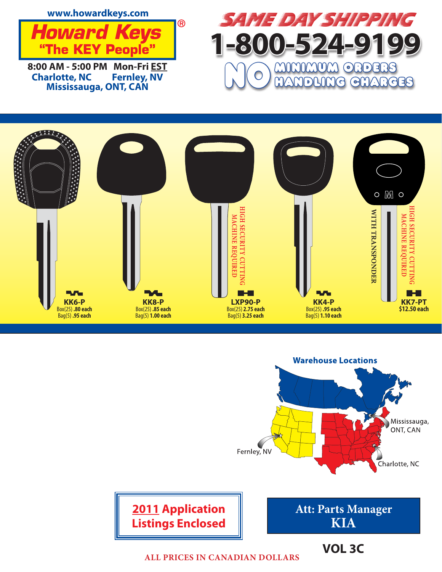





**ALL PRICES IN CANADIAN DOLLARS**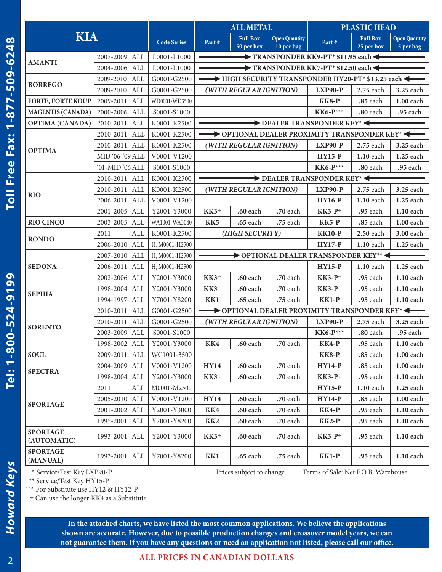| 2007-2009 ALL<br>2004-2006 ALL<br>2009-2010 ALL<br>2009-2010 ALL<br>2009-2011 ALL<br>2000-2006 ALL<br>2010-2011 ALL<br>2010-2011 ALL<br>2010-2011 ALL |                                             | L0001-L1000<br>L0001-L1000<br>G0001-G2500<br>G0001-G2500<br>WD0001-WD3500<br>S0001-S1000 |                 | $\blacktriangleright$ TF<br>$\blacktriangleright$ TF               |  |
|-------------------------------------------------------------------------------------------------------------------------------------------------------|---------------------------------------------|------------------------------------------------------------------------------------------|-----------------|--------------------------------------------------------------------|--|
|                                                                                                                                                       |                                             |                                                                                          |                 |                                                                    |  |
|                                                                                                                                                       |                                             |                                                                                          |                 |                                                                    |  |
|                                                                                                                                                       |                                             |                                                                                          |                 | HIGH SECU                                                          |  |
|                                                                                                                                                       |                                             |                                                                                          |                 | (WITH REGULAR                                                      |  |
|                                                                                                                                                       |                                             |                                                                                          |                 |                                                                    |  |
|                                                                                                                                                       |                                             |                                                                                          |                 |                                                                    |  |
|                                                                                                                                                       |                                             | K0001-K2500                                                                              |                 |                                                                    |  |
|                                                                                                                                                       |                                             | K0001-K2500                                                                              |                 | OPTIONAL                                                           |  |
|                                                                                                                                                       |                                             | K0001-K2500                                                                              | (WITH REGULAR   |                                                                    |  |
| MID '06-'09 ALL                                                                                                                                       |                                             | V0001-V1200                                                                              |                 |                                                                    |  |
| '01-MID '06 ALL                                                                                                                                       |                                             | S0001-S1000                                                                              |                 |                                                                    |  |
| 2010-2011 ALL                                                                                                                                         |                                             | K0001-K2500                                                                              |                 |                                                                    |  |
| 2010-2011 ALL                                                                                                                                         |                                             | K0001-K2500                                                                              |                 | (WITH REGULAR                                                      |  |
| 2006-2011 ALL                                                                                                                                         |                                             | V0001-V1200                                                                              |                 |                                                                    |  |
| 2001-2005 ALL                                                                                                                                         |                                             | Y2001-Y3000                                                                              | KK3†            | $.60$ each                                                         |  |
| 2003-2005 ALL                                                                                                                                         |                                             | WA1001-WA3040                                                                            | KK <sub>5</sub> | .65 each                                                           |  |
| 2011                                                                                                                                                  | ALL                                         | K0001-K2500                                                                              |                 | (HIGH SECU                                                         |  |
| 2006-2010 ALL                                                                                                                                         |                                             | H, M0001-H2500                                                                           |                 |                                                                    |  |
| 2007-2010 ALL                                                                                                                                         |                                             | H, M0001-H2500                                                                           |                 | $\rightarrow$ OPTIC                                                |  |
| 2006-2011 ALL                                                                                                                                         |                                             | H, M0001-H2500                                                                           |                 |                                                                    |  |
| 2002-2006 ALL                                                                                                                                         |                                             | Y2001-Y3000                                                                              | $KK3\dagger$    | .60 each                                                           |  |
| 1998-2004 ALL                                                                                                                                         |                                             | Y2001-Y3000                                                                              | <b>KK3†</b>     | .60 each                                                           |  |
| 1994-1997 ALL                                                                                                                                         |                                             | Y7001-Y8200                                                                              | KK1             | <b>.65</b> each                                                    |  |
| 2010-2011 ALL                                                                                                                                         |                                             | G0001-G2500                                                                              |                 | $\rightarrow$ OPTIONAL                                             |  |
| 2010-2011 ALL                                                                                                                                         |                                             | G0001-G2500                                                                              |                 | (WITH REGULAR                                                      |  |
| 2003-2009 ALL                                                                                                                                         |                                             | S0001-S1000                                                                              |                 |                                                                    |  |
| 1998-2002 ALL                                                                                                                                         |                                             | Y2001-Y3000                                                                              | KK4             | $.60$ each                                                         |  |
| 2009-2011 ALL                                                                                                                                         |                                             | WC1001-3500                                                                              |                 |                                                                    |  |
| 2004-2009 ALL                                                                                                                                         |                                             | V0001-V1200                                                                              | <b>HY14</b>     | .60 each                                                           |  |
| 1998-2004 ALL                                                                                                                                         |                                             | Y2001-Y3000                                                                              | KK3†            | .60 each                                                           |  |
| 2011                                                                                                                                                  | $\mbox{ALL}$                                | M0001-M2500                                                                              |                 |                                                                    |  |
| 2005-2010 ALL                                                                                                                                         |                                             | V0001-V1200                                                                              | <b>HY14</b>     | .60 each                                                           |  |
|                                                                                                                                                       |                                             | Y2001-Y3000                                                                              | KK4             | .60 each                                                           |  |
| 2001-2002 ALL                                                                                                                                         |                                             | Y7001-Y8200                                                                              | KK <sub>2</sub> | $.60$ each                                                         |  |
| 1995-2001 ALL                                                                                                                                         |                                             | Y2001-Y3000                                                                              | $KK3\dagger$    | .60 each                                                           |  |
| 1993-2001 ALL                                                                                                                                         |                                             | Y7001-Y8200                                                                              | KK1             | $.65$ each                                                         |  |
|                                                                                                                                                       |                                             |                                                                                          |                 | Prices subject to                                                  |  |
|                                                                                                                                                       | 1993-2001 ALL<br>* Service/Test Key LXP90-P |                                                                                          |                 | ** Service/Test Key HY15-P<br>*** For Substitute use HY12 & HY12-P |  |

| <b>BORREGO</b>                                                                                 | 2009-2010 ALL             | G0001-G2500    | HIGH SECURITY TRANSPONDER HY20-PT* \$13.25 each |                         |          |                          |           |           |  |
|------------------------------------------------------------------------------------------------|---------------------------|----------------|-------------------------------------------------|-------------------------|----------|--------------------------|-----------|-----------|--|
|                                                                                                | 2009-2010 ALL             | G0001-G2500    |                                                 | (WITH REGULAR IGNITION) |          | <b>LXP90-P</b>           | 2.75 each | 3.25 each |  |
| <b>FORTE, FORTE KOUP</b>                                                                       | 2009-2011 ALL             | WD0001-WD3500  |                                                 |                         |          | <b>KK8-P</b>             | .85 each  | 1.00 each |  |
| <b>MAGENTIS (CANADA)</b>                                                                       | 2000-2006 ALL             | S0001-S1000    |                                                 |                         |          | $KK6-P***$               | .80 each  | .95 each  |  |
| <b>OPTIMA (CANADA)</b>                                                                         | 2010-2011 ALL             | K0001-K2500    | DEALER TRANSPONDER KEY*<                        |                         |          |                          |           |           |  |
| <b>OPTIMA</b>                                                                                  | 2010-2011 ALL             | K0001-K2500    | OPTIONAL DEALER PROXIMITY TRANSPONDER KEY*<     |                         |          |                          |           |           |  |
|                                                                                                | 2010-2011 ALL             | K0001-K2500    | (WITH REGULAR IGNITION)                         |                         |          | <b>LXP90-P</b>           | 2.75 each | 3.25 each |  |
|                                                                                                | MID '06-'09 ALL           | V0001-V1200    |                                                 |                         |          | $HY15-P$                 | 1.10 each | 1.25 each |  |
|                                                                                                | '01-MID '06 ALL           | S0001-S1000    |                                                 |                         |          | <b>KK6-P***</b>          | .80 each  | .95 each  |  |
| <b>RIO</b>                                                                                     | 2010-2011 ALL             | K0001-K2500    |                                                 |                         |          | DEALER TRANSPONDER KEY*< |           |           |  |
|                                                                                                | 2010-2011 ALL             | K0001-K2500    | (WITH REGULAR IGNITION)                         |                         |          | <b>LXP90-P</b>           | 2.75 each | 3.25 each |  |
|                                                                                                | 2006-2011 ALL             | V0001-V1200    |                                                 |                         |          | <b>HY16-P</b>            | 1.10 each | 1.25 each |  |
|                                                                                                | 2001-2005 ALL             | Y2001-Y3000    | KK3†                                            | .60 each                | .70 each | $KK3-P+$                 | .95 each  | 1.10 each |  |
| <b>RIO CINCO</b>                                                                               | 2003-2005 ALL             | WA1001-WA3040  | KK5                                             | .65 each                | .75 each | <b>KK5-P</b>             | .85 each  | 1.00 each |  |
| <b>RONDO</b>                                                                                   | ALL<br>2011               | K0001-K2500    | (HIGH SECURITY)                                 |                         |          | <b>KK10-P</b>            | 2.50 each | 3.00 each |  |
|                                                                                                | 2006-2010 ALL             | H, M0001-H2500 |                                                 |                         |          | <b>HY17-P</b>            | 1.10 each | 1.25 each |  |
| <b>SEDONA</b>                                                                                  | 2007-2010 ALL             | H, M0001-H2500 | OPTIONAL DEALER TRANSPONDER KEY**               |                         |          |                          |           |           |  |
|                                                                                                | 2006-2011 ALL             | H, M0001-H2500 |                                                 |                         |          | <b>HY15-P</b>            | 1.10 each | 1.25 each |  |
|                                                                                                | 2002-2006 ALL             | Y2001-Y3000    | KK3†                                            | .60 each                | .70 each | <b>KK3-P</b> †           | .95 each  | 1.10 each |  |
| <b>SEPHIA</b>                                                                                  | 1998-2004 ALL             | Y2001-Y3000    | KK3†                                            | .60 each                | .70 each | <b>KK3-P</b> †           | .95 each  | 1.10 each |  |
|                                                                                                | 1994-1997 ALL             | Y7001-Y8200    | KK1                                             | <b>.65</b> each         | .75 each | KK1-P                    | .95 each  | 1.10 each |  |
|                                                                                                | 2010-2011 ALL             | G0001-G2500    | OPTIONAL DEALER PROXIMITY TRANSPONDER KEY*<     |                         |          |                          |           |           |  |
|                                                                                                | 2010-2011 ALL             | G0001-G2500    | (WITH REGULAR IGNITION)                         |                         |          | <b>LXP90-P</b>           | 2.75 each | 3.25 each |  |
| <b>SORENTO</b>                                                                                 | 2003-2009 ALL             | S0001-S1000    |                                                 |                         |          | <b>KK6-P***</b>          | .80 each  | .95 each  |  |
|                                                                                                | 1998-2002 ALL             | Y2001-Y3000    | KK4                                             | .60 each                | .70 each | <b>KK4-P</b>             | .95 each  | 1.10 each |  |
| <b>SOUL</b>                                                                                    | 2009-2011 ALL             | WC1001-3500    |                                                 |                         |          | <b>KK8-P</b>             | .85 each  | 1.00 each |  |
| <b>SPECTRA</b>                                                                                 | 2004-2009 ALL             | V0001-V1200    | <b>HY14</b>                                     | .60 each                | .70 each | <b>HY14-P</b>            | .85 each  | 1.00 each |  |
|                                                                                                | 1998-2004 ALL             | Y2001-Y3000    | KK3†                                            | .60 each                | .70 each | <b>KK3-P</b> †           | .95 each  | 1.10 each |  |
| <b>SPORTAGE</b>                                                                                | 2011<br>ALL               | M0001-M2500    |                                                 |                         |          | <b>HY15-P</b>            | 1.10 each | 1.25 each |  |
|                                                                                                | 2005-2010 ALL V0001-V1200 |                | <b>HY14</b>                                     | .60 each                | .70 each | <b>HY14-P</b>            | .85 each  | 1.00 each |  |
|                                                                                                | 2001-2002 ALL             | Y2001-Y3000    | KK4                                             | .60 each                | .70 each | <b>KK4-P</b>             | .95 each  | 1.10 each |  |
|                                                                                                | 1995-2001 ALL             | Y7001-Y8200    | KK <sub>2</sub>                                 | .60 each                | .70 each | <b>KK2-P</b>             | .95 each  | 1.10 each |  |
| <b>SPORTAGE</b><br>(AUTOMATIC)                                                                 | 1993-2001 ALL             | Y2001-Y3000    | KK3†                                            | .60 each                | .70 each | <b>KK3-P</b> †           | .95 each  | 1.10 each |  |
| <b>SPORTAGE</b><br>(MANUAL)                                                                    | 1993-2001 ALL             | Y7001-Y8200    | KK1                                             | <b>.65</b> each         | .75 each | $KK1-P$                  | .95 each  | 1.10 each |  |
| * Service/Test Key LXP90-P<br>Prices subject to change.<br>Terms of Sale: Net F.O.B. Warehouse |                           |                |                                                 |                         |          |                          |           |           |  |

**ALL METAL PLASTIC HEAD**

TRANSPONDER KK9-PT\* \$11.95 each TRANSPONDER KK7-PT\* \$12.50 each

**10 pen Quantity Part # Part # Part # Part # Part # Part # Part # Part # Part # Part # Part # Part # Part # Part # Part # Part # Part # Part # Part # Part # Part # Part # Part** 

**25 per box**

**Open Quantity 5 per bag**

**Open Quantity**

**50 per box**

**In the attached charts, we have listed the most common applications. We believe the applications shown are accurate. However, due to possible production changes and crossover model years, we can not guarantee them. If you have any questions or need an application not listed, please call our office.**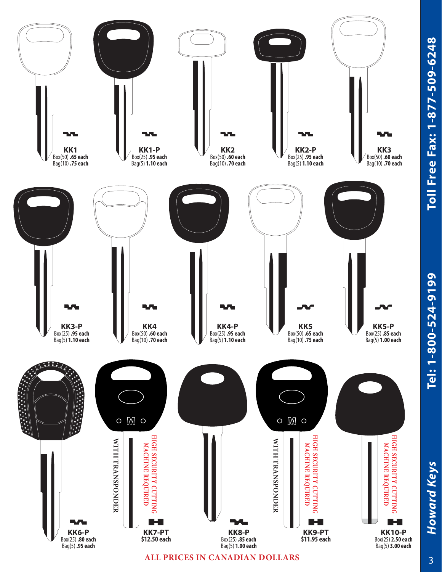

Howard Keys